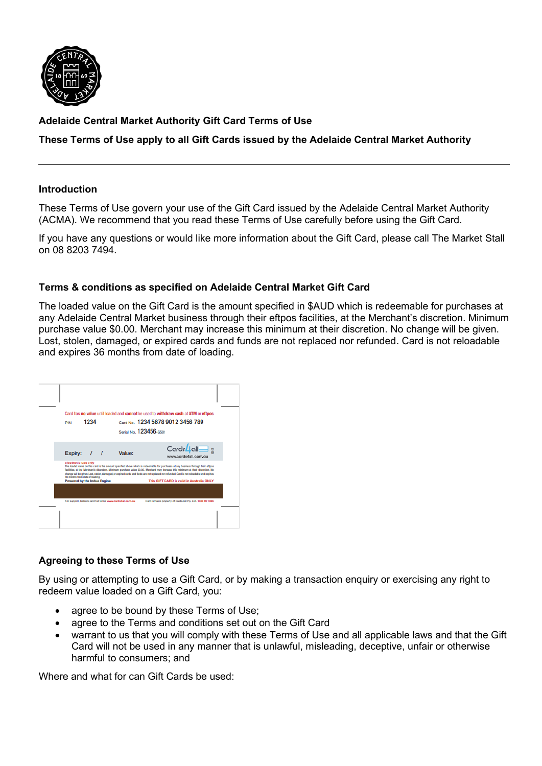

## **Adelaide Central Market Authority Gift Card Terms of Use**

## **These Terms of Use apply to all Gift Cards issued by the Adelaide Central Market Authority**

#### **Introduction**

These Terms of Use govern your use of the Gift Card issued by the Adelaide Central Market Authority (ACMA). We recommend that you read these Terms of Use carefully before using the Gift Card.

If you have any questions or would like more information about the Gift Card, please call The Market Stall on 08 8203 7494.

### **Terms & conditions as specified on Adelaide Central Market Gift Card**

The loaded value on the Gift Card is the amount specified in \$AUD which is redeemable for purchases at any Adelaide Central Market business through their eftpos facilities, at the Merchant's discretion. Minimum purchase value \$0.00. Merchant may increase this minimum at their discretion. No change will be given. Lost, stolen, damaged, or expired cards and funds are not replaced nor refunded. Card is not reloadable and expires 36 months from date of loading.



## **Agreeing to these Terms of Use**

By using or attempting to use a Gift Card, or by making a transaction enquiry or exercising any right to redeem value loaded on a Gift Card, you:

- agree to be bound by these Terms of Use;
- agree to the Terms and conditions set out on the Gift Card
- warrant to us that you will comply with these Terms of Use and all applicable laws and that the Gift Card will not be used in any manner that is unlawful, misleading, deceptive, unfair or otherwise harmful to consumers; and

Where and what for can Gift Cards be used: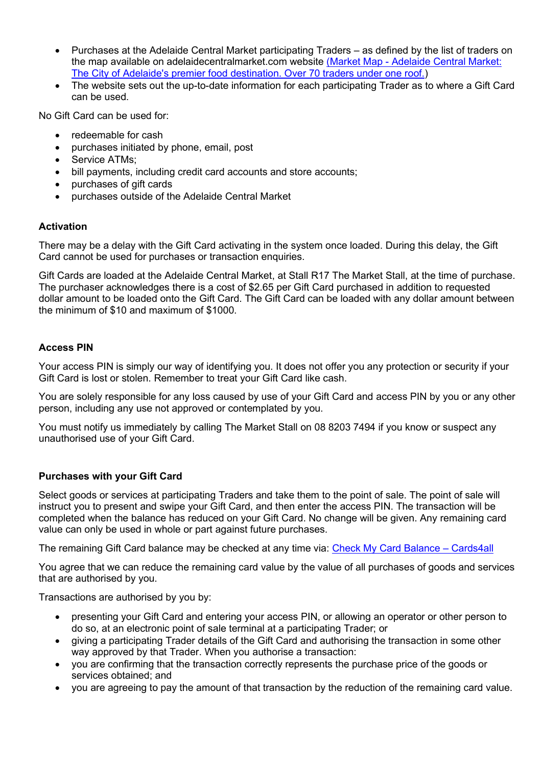- Purchases at the Adelaide Central Market participating Traders as defined by the list of traders on the map available on adelaidecentralmarket.com website (Market Map - [Adelaide Central Market:](https://adelaidecentralmarket.com.au/site/wp-content/uploads/2021/11/1290_ACM-Market-Map-update_Oct-2021_V2.pdf)  [The City of Adelaide's premier food destination. Over 70 traders under one roof.\)](https://adelaidecentralmarket.com.au/site/wp-content/uploads/2021/11/1290_ACM-Market-Map-update_Oct-2021_V2.pdf)
- The website sets out the up-to-date information for each participating Trader as to where a Gift Card can be used.

No Gift Card can be used for:

- redeemable for cash
- purchases initiated by phone, email, post
- Service ATMs;
- bill payments, including credit card accounts and store accounts;
- purchases of gift cards
- purchases outside of the Adelaide Central Market

### **Activation**

There may be a delay with the Gift Card activating in the system once loaded. During this delay, the Gift Card cannot be used for purchases or transaction enquiries.

Gift Cards are loaded at the Adelaide Central Market, at Stall R17 The Market Stall, at the time of purchase. The purchaser acknowledges there is a cost of \$2.65 per Gift Card purchased in addition to requested dollar amount to be loaded onto the Gift Card. The Gift Card can be loaded with any dollar amount between the minimum of \$10 and maximum of \$1000.

### **Access PIN**

Your access PIN is simply our way of identifying you. It does not offer you any protection or security if your Gift Card is lost or stolen. Remember to treat your Gift Card like cash.

You are solely responsible for any loss caused by use of your Gift Card and access PIN by you or any other person, including any use not approved or contemplated by you.

You must notify us immediately by calling The Market Stall on 08 8203 7494 if you know or suspect any unauthorised use of your Gift Card.

### **Purchases with your Gift Card**

Select goods or services at participating Traders and take them to the point of sale. The point of sale will instruct you to present and swipe your Gift Card, and then enter the access PIN. The transaction will be completed when the balance has reduced on your Gift Card. No change will be given. Any remaining card value can only be used in whole or part against future purchases.

The remaining Gift Card balance may be checked at any time via: [Check My Card Balance](https://cards4all.com.au/check-card-balance/) – Cards4all

You agree that we can reduce the remaining card value by the value of all purchases of goods and services that are authorised by you.

Transactions are authorised by you by:

- presenting your Gift Card and entering your access PIN, or allowing an operator or other person to do so, at an electronic point of sale terminal at a participating Trader; or
- giving a participating Trader details of the Gift Card and authorising the transaction in some other way approved by that Trader. When you authorise a transaction:
- you are confirming that the transaction correctly represents the purchase price of the goods or services obtained; and
- you are agreeing to pay the amount of that transaction by the reduction of the remaining card value.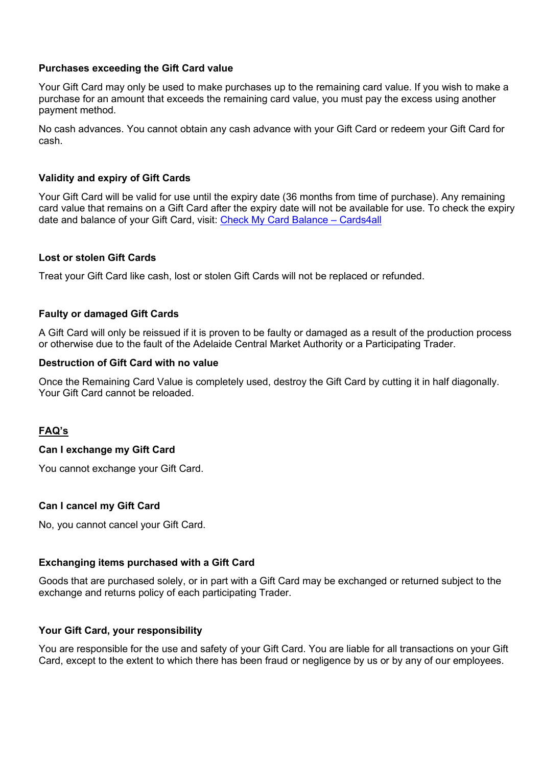#### **Purchases exceeding the Gift Card value**

Your Gift Card may only be used to make purchases up to the remaining card value. If you wish to make a purchase for an amount that exceeds the remaining card value, you must pay the excess using another payment method.

No cash advances. You cannot obtain any cash advance with your Gift Card or redeem your Gift Card for cash.

### **Validity and expiry of Gift Cards**

Your Gift Card will be valid for use until the expiry date (36 months from time of purchase). Any remaining card value that remains on a Gift Card after the expiry date will not be available for use. To check the expiry date and balance of your Gift Card, visit: [Check My Card Balance](https://cards4all.com.au/check-card-balance/) – Cards4all

### **Lost or stolen Gift Cards**

Treat your Gift Card like cash, lost or stolen Gift Cards will not be replaced or refunded.

### **Faulty or damaged Gift Cards**

A Gift Card will only be reissued if it is proven to be faulty or damaged as a result of the production process or otherwise due to the fault of the Adelaide Central Market Authority or a Participating Trader.

#### **Destruction of Gift Card with no value**

Once the Remaining Card Value is completely used, destroy the Gift Card by cutting it in half diagonally. Your Gift Card cannot be reloaded.

## **FAQ's**

### **Can I exchange my Gift Card**

You cannot exchange your Gift Card.

### **Can I cancel my Gift Card**

No, you cannot cancel your Gift Card.

### **Exchanging items purchased with a Gift Card**

Goods that are purchased solely, or in part with a Gift Card may be exchanged or returned subject to the exchange and returns policy of each participating Trader.

#### **Your Gift Card, your responsibility**

You are responsible for the use and safety of your Gift Card. You are liable for all transactions on your Gift Card, except to the extent to which there has been fraud or negligence by us or by any of our employees.